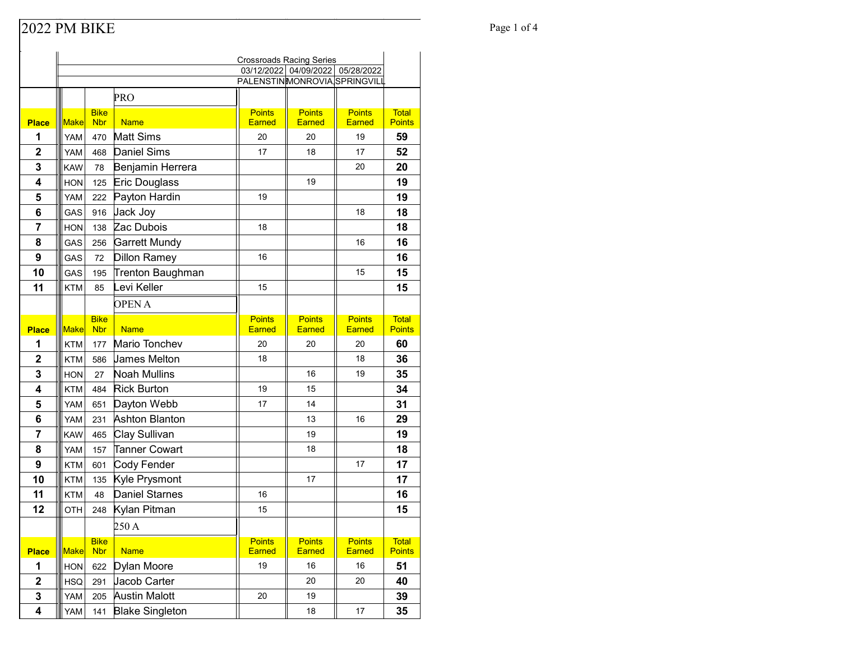## Page 1 of 4

|              |             |                           |                        | <b>Crossroads Racing Series</b> |                                  |                                |                               |
|--------------|-------------|---------------------------|------------------------|---------------------------------|----------------------------------|--------------------------------|-------------------------------|
|              |             |                           |                        |                                 | 03/12/2022 04/09/2022 05/28/2022 |                                |                               |
|              |             |                           |                        | PALENSTINMONROVIA SPRINGVILL    |                                  |                                |                               |
|              |             |                           | PRO                    |                                 |                                  |                                |                               |
| <b>Place</b> | Make        | <b>Bike</b><br><b>Nbr</b> | <b>Name</b>            | <b>Points</b><br><b>Earned</b>  | <b>Points</b><br><b>Earned</b>   | <b>Points</b><br><b>Earned</b> | <b>Total</b><br><b>Points</b> |
| 1            | YAM         | 470                       | <b>Matt Sims</b>       | 20                              | 20                               | 19                             | 59                            |
| $\mathbf 2$  | YAM         | 468                       | Daniel Sims            | 17                              | 18                               | 17                             | 52                            |
| 3            | <b>KAW</b>  | 78                        | Benjamin Herrera       |                                 |                                  | 20                             | 20                            |
| 4            | <b>HON</b>  | 125                       | Eric Douglass          |                                 | 19                               |                                | 19                            |
| 5            | YAM         | 222                       | Payton Hardin          | 19                              |                                  |                                | 19                            |
| 6            | GAS         | 916                       | Jack Joy               |                                 |                                  | 18                             | 18                            |
| 7            | <b>HON</b>  | 138                       | Zac Dubois             | 18                              |                                  |                                | 18                            |
| 8            | GAS         | 256                       | Garrett Mundy          |                                 |                                  | 16                             | 16                            |
| 9            | GAS         | 72                        | Dillon Ramey           | 16                              |                                  |                                | 16                            |
| 10           | GAS         | 195                       | Trenton Baughman       |                                 |                                  | 15                             | 15                            |
| 11           | <b>KTM</b>  | 85                        | Levi Keller            | 15                              |                                  |                                | 15                            |
|              |             |                           | <b>OPENA</b>           |                                 |                                  |                                |                               |
|              |             | <b>Bike</b>               |                        | <b>Points</b>                   | <b>Points</b>                    | <b>Points</b>                  | <b>Total</b>                  |
| <b>Place</b> | <b>Make</b> | <b>Nbr</b>                | <b>Name</b>            | <b>Earned</b>                   | <b>Earned</b>                    | <b>Earned</b>                  | <b>Points</b>                 |
| 1            | <b>KTM</b>  | 177                       | Mario Tonchev          | 20                              | 20                               | 20                             | 60                            |
| $\mathbf 2$  | <b>KTM</b>  | 586                       | <b>James Melton</b>    | 18                              |                                  | 18                             | 36                            |
| 3            | <b>HON</b>  | 27                        | Noah Mullins           |                                 | 16                               | 19                             | 35                            |
| 4            | <b>KTM</b>  | 484                       | <b>Rick Burton</b>     | 19                              | 15                               |                                | 34                            |
| 5            | YAM         | 651                       | Dayton Webb            | 17                              | 14                               |                                | 31                            |
| 6            | YAM         | 231                       | Ashton Blanton         |                                 | 13                               | 16                             | 29                            |
| 7            | <b>KAW</b>  | 465                       | Clay Sullivan          |                                 | 19                               |                                | 19                            |
| 8            | YAM         | 157                       | <b>Tanner Cowart</b>   |                                 | 18                               |                                | 18                            |
| 9            | <b>KTM</b>  | 601                       | Cody Fender            |                                 |                                  | 17                             | 17                            |
| 10           | <b>KTM</b>  | 135                       | Kyle Prysmont          |                                 | 17                               |                                | 17                            |
| 11           | <b>KTM</b>  | 48                        | <b>Daniel Starnes</b>  | 16                              |                                  |                                | 16                            |
| 12           | OTH         | 248                       | Kylan Pitman           | 15                              |                                  |                                | 15                            |
|              |             |                           | 250 A                  |                                 |                                  |                                |                               |
| <b>Place</b> | Make        | <b>Bike</b><br><b>Nbr</b> | <b>Name</b>            | <b>Points</b><br>Earned         | <b>Points</b><br>Earned          | <b>Points</b><br>Earned        | <b>Total</b><br><b>Points</b> |
| 1            | <b>HON</b>  | 622                       | Dylan Moore            | 19                              | $16\,$                           | 16                             | 51                            |
| $\mathbf 2$  | <b>HSQ</b>  | 291                       | Jacob Carter           |                                 | 20                               | 20                             | 40                            |
| 3            | YAM         | 205                       | <b>Austin Malott</b>   | 20                              | 19                               |                                | 39                            |
| 4            | YAM         | 141                       | <b>Blake Singleton</b> |                                 | 18                               | 17                             | 35                            |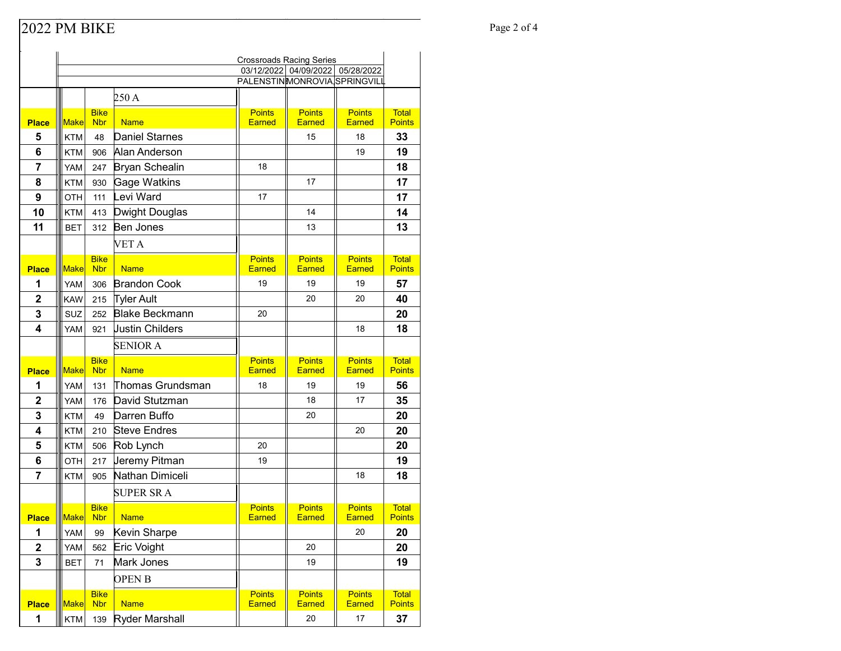## Page 2 of 4

|                | <b>Crossroads Racing Series</b>                                  |                           |                        |                                |                                |                                |                               |
|----------------|------------------------------------------------------------------|---------------------------|------------------------|--------------------------------|--------------------------------|--------------------------------|-------------------------------|
|                | 03/12/2022 04/09/2022 05/28/2022<br>PALENSTINMONROVIA SPRINGVILL |                           |                        |                                |                                |                                |                               |
|                |                                                                  |                           |                        |                                |                                |                                |                               |
|                |                                                                  |                           | 250A                   |                                |                                |                                |                               |
| <b>Place</b>   | <b>Make</b>                                                      | <b>Bike</b><br><b>Nbr</b> | <b>Name</b>            | <b>Points</b><br><b>Earned</b> | <b>Points</b><br><b>Earned</b> | <b>Points</b><br>Earned        | <b>Total</b><br><b>Points</b> |
| 5              | <b>KTM</b>                                                       | 48                        | Daniel Starnes         |                                | 15                             | 18                             | 33                            |
| 6              | KTM                                                              | 906                       | Alan Anderson          |                                |                                | 19                             | 19                            |
| $\overline{7}$ | YAM                                                              | 247                       | <b>Bryan Schealin</b>  | 18                             |                                |                                | 18                            |
| 8              | <b>KTM</b>                                                       | 930                       | Gage Watkins           |                                | 17                             |                                | 17                            |
| 9              | <b>OTH</b>                                                       | 111                       | Levi Ward              | 17                             |                                |                                | 17                            |
| 10             | KTM                                                              | 413                       | Dwight Douglas         |                                | 14                             |                                | 14                            |
| 11             | <b>BET</b>                                                       | 312                       | <b>Ben Jones</b>       |                                | 13                             |                                | 13                            |
|                |                                                                  |                           | VET A                  |                                |                                |                                |                               |
|                |                                                                  | <b>Bike</b>               |                        | <b>Points</b>                  | <b>Points</b>                  | <b>Points</b>                  | <b>Total</b>                  |
| <b>Place</b>   | <b>Make</b>                                                      | <b>Nbr</b>                | <b>Name</b>            | <b>Earned</b>                  | <b>Earned</b>                  | Earned                         | <b>Points</b>                 |
| 1              | YAM                                                              | 306                       | <b>Brandon Cook</b>    | 19                             | 19                             | 19                             | 57                            |
| $\mathbf 2$    | <b>KAW</b>                                                       | 215                       | Tyler Ault             |                                | 20                             | 20                             | 40                            |
| 3              | SUZ                                                              | 252                       | <b>Blake Beckmann</b>  | 20                             |                                |                                | 20                            |
| 4              | <b>YAM</b>                                                       | 921                       | <b>Justin Childers</b> |                                |                                | 18                             | 18                            |
|                |                                                                  |                           | <b>SENIOR A</b>        |                                |                                |                                |                               |
| <b>Place</b>   | <b>Make</b>                                                      | <b>Bike</b><br><b>Nbr</b> | <b>Name</b>            | <b>Points</b><br><b>Earned</b> | <b>Points</b><br><b>Earned</b> | <b>Points</b><br><b>Earned</b> | <b>Total</b><br><b>Points</b> |
| 1              | YAM                                                              | 131                       | Thomas Grundsman       | 18                             | 19                             | 19                             | 56                            |
| $\mathbf{2}$   | YAM                                                              | 176                       | David Stutzman         |                                | 18                             | 17                             | 35                            |
| 3              | <b>KTM</b>                                                       | 49                        | Darren Buffo           |                                | 20                             |                                | 20                            |
| 4              | KTM                                                              | 210                       | <b>Steve Endres</b>    |                                |                                | 20                             | 20                            |
| 5              | KTM                                                              | 506                       | Rob Lynch              | 20                             |                                |                                | 20                            |
| 6              | OTH                                                              | 217                       | Jeremy Pitman          | 19                             |                                |                                | 19                            |
| $\overline{7}$ | <b>KTM</b>                                                       | 905                       | Nathan Dimiceli        |                                |                                | 18                             | 18                            |
|                |                                                                  |                           | <b>SUPER SRA</b>       |                                |                                |                                |                               |
|                |                                                                  | <b>Bike</b>               |                        | <b>Points</b>                  | <b>Points</b>                  | <b>Points</b>                  | Total                         |
| <b>Place</b>   | Make                                                             | <b>Nbr</b>                | <b>Name</b>            | <b>Earned</b>                  | <b>Earned</b>                  | <b>Earned</b>                  | <b>Points</b>                 |
| 1              | YAM                                                              | 99                        | Kevin Sharpe           |                                |                                | 20                             | 20                            |
| $\mathbf 2$    | YAM                                                              | 562                       | Eric Voight            |                                | 20                             |                                | 20                            |
| 3              | <b>BET</b>                                                       | 71                        | Mark Jones             |                                | 19                             |                                | 19                            |
|                |                                                                  |                           | <b>OPEN B</b>          |                                |                                |                                |                               |
| <b>Place</b>   | Make                                                             | <b>Bike</b><br><b>Nbr</b> | <b>Name</b>            | <b>Points</b><br>Earned        | <b>Points</b><br>Earned        | <b>Points</b><br>Earned        | <b>Total</b><br>Points        |
| 1              | <b>KTM</b>                                                       | 139                       | Ryder Marshall         |                                | 20                             | $17\,$                         | 37                            |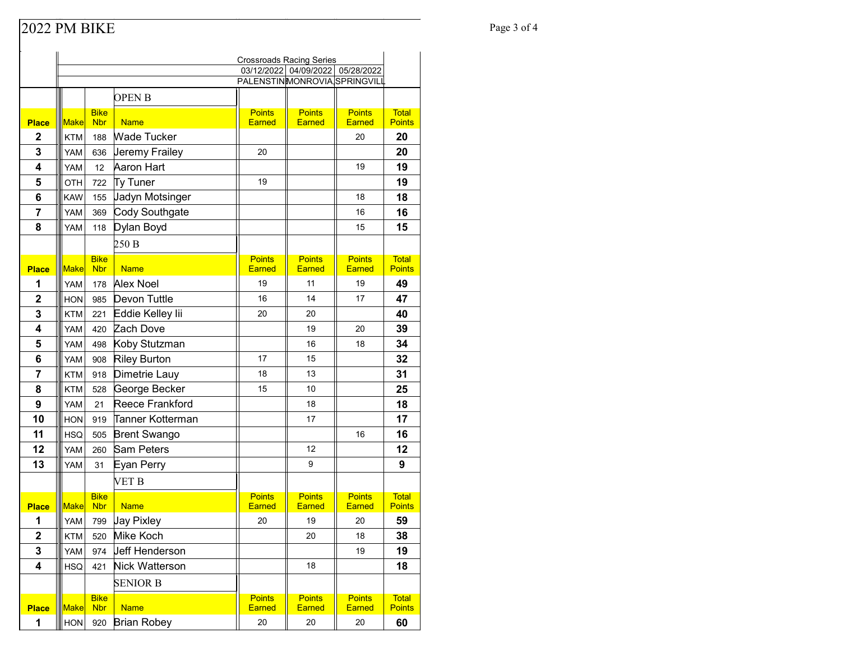## Page 3 of 4

|                         | <b>Crossroads Racing Series</b>                                     |                           |                               |                                |                                |                                |                               |
|-------------------------|---------------------------------------------------------------------|---------------------------|-------------------------------|--------------------------------|--------------------------------|--------------------------------|-------------------------------|
|                         | 03/12/2022 04/09/2022<br>05/28/2022<br>PALENSTINMONROVIA SPRINGVILL |                           |                               |                                |                                |                                |                               |
|                         |                                                                     |                           |                               |                                |                                |                                |                               |
|                         |                                                                     |                           | <b>OPENB</b>                  |                                |                                |                                |                               |
| <b>Place</b>            | Make                                                                | <b>Bike</b><br><b>Nbr</b> | <b>Name</b>                   | <b>Points</b><br><b>Earned</b> | <b>Points</b><br><b>Earned</b> | <b>Points</b><br><b>Earned</b> | <b>Total</b><br><b>Points</b> |
| $\mathbf{2}$            | KTM                                                                 | 188                       | <b>Wade Tucker</b>            |                                |                                | 20                             | 20                            |
| 3                       | YAM                                                                 | 636                       | Jeremy Frailey                | 20                             |                                |                                | 20                            |
| $\overline{\mathbf{4}}$ | YAM                                                                 | 12                        | Aaron Hart                    |                                |                                | 19                             | 19                            |
| 5                       | OTH                                                                 | 722                       | Ty Tuner                      | 19                             |                                |                                | 19                            |
| 6                       | <b>KAW</b>                                                          | 155                       | Jadyn Motsinger               |                                |                                | 18                             | 18                            |
| $\overline{7}$          | YAM                                                                 | 369                       | Cody Southgate                |                                |                                | 16                             | 16                            |
| 8                       | YAM                                                                 | 118                       | Dylan Boyd                    |                                |                                | 15                             | 15                            |
|                         |                                                                     |                           | 250 B                         |                                |                                |                                |                               |
|                         |                                                                     | <b>Bike</b>               |                               | <b>Points</b>                  | <b>Points</b>                  | <b>Points</b>                  | <b>Total</b>                  |
| <b>Place</b>            | <b>Make</b>                                                         | <b>Nbr</b>                | <b>Name</b>                   | <b>Earned</b>                  | <b>Earned</b>                  | <b>Earned</b>                  | <b>Points</b>                 |
| 1<br>$\overline{2}$     | YAM                                                                 | 178                       | <b>Alex Noel</b>              | 19                             | 11                             | 19                             | 49                            |
| 3                       | <b>HON</b>                                                          | 985                       | Devon Tuttle                  | 16<br>20                       | 14                             | 17                             | 47<br>40                      |
| $\overline{\mathbf{4}}$ | <b>KTM</b>                                                          | 221                       | Eddie Kelley lii<br>Zach Dove |                                | 20<br>19                       | 20                             |                               |
| 5                       | YAM<br>YAM                                                          | 420                       | Koby Stutzman                 |                                | 16                             | 18                             | 39<br>34                      |
| 6                       | YAM                                                                 | 498<br>908                | <b>Riley Burton</b>           | 17                             | 15                             |                                | 32                            |
| 7                       | KTM                                                                 | 918                       | Dimetrie Lauy                 | 18                             | 13                             |                                | 31                            |
| 8                       | <b>KTM</b>                                                          | 528                       | George Becker                 | 15                             | 10                             |                                | 25                            |
| 9                       | YAM                                                                 | 21                        | Reece Frankford               |                                | 18                             |                                | 18                            |
| 10                      | <b>HON</b>                                                          | 919                       | Tanner Kotterman              |                                | 17                             |                                | 17                            |
| 11                      | HSQ                                                                 | 505                       | <b>Brent Swango</b>           |                                |                                | 16                             | 16                            |
| 12                      | YAM                                                                 | 260                       | <b>Sam Peters</b>             |                                | 12                             |                                | 12                            |
| 13                      | YAM                                                                 | 31                        | Eyan Perry                    |                                | 9                              |                                | 9                             |
|                         |                                                                     |                           | VET B                         |                                |                                |                                |                               |
|                         |                                                                     | <b>Bike</b>               |                               | <b>Points</b>                  | <b>Points</b>                  | <b>Points</b>                  | <b>Total</b>                  |
| <b>Place</b>            | <b>Make</b>                                                         | <b>Nbr</b>                | <b>Name</b>                   | <b>Earned</b>                  | <b>Earned</b>                  | <b>Earned</b>                  | <b>Points</b>                 |
| 1                       | YAM                                                                 | 799                       | <b>Jay Pixley</b>             | 20                             | 19                             | 20                             | 59                            |
| $\mathbf 2$             | <b>KTM</b>                                                          | 520                       | Mike Koch                     |                                | 20                             | 18                             | 38                            |
| 3                       | YAM                                                                 | 974                       | <b>Jeff Henderson</b>         |                                |                                | 19                             | 19                            |
| 4                       | <b>HSQ</b>                                                          | 421                       | Nick Watterson                |                                | 18                             |                                | 18                            |
|                         |                                                                     |                           | <b>SENIOR B</b>               |                                |                                |                                |                               |
| <b>Place</b>            | Make                                                                | <b>Bike</b><br><b>Nbr</b> | <b>Name</b>                   | <b>Points</b><br><b>Earned</b> | <b>Points</b><br><b>Earned</b> | <b>Points</b><br><b>Earned</b> | <b>Total</b><br><b>Points</b> |
| 1                       | HON                                                                 | 920                       | <b>Brian Robey</b>            | 20                             | 20                             | 20                             | 60                            |